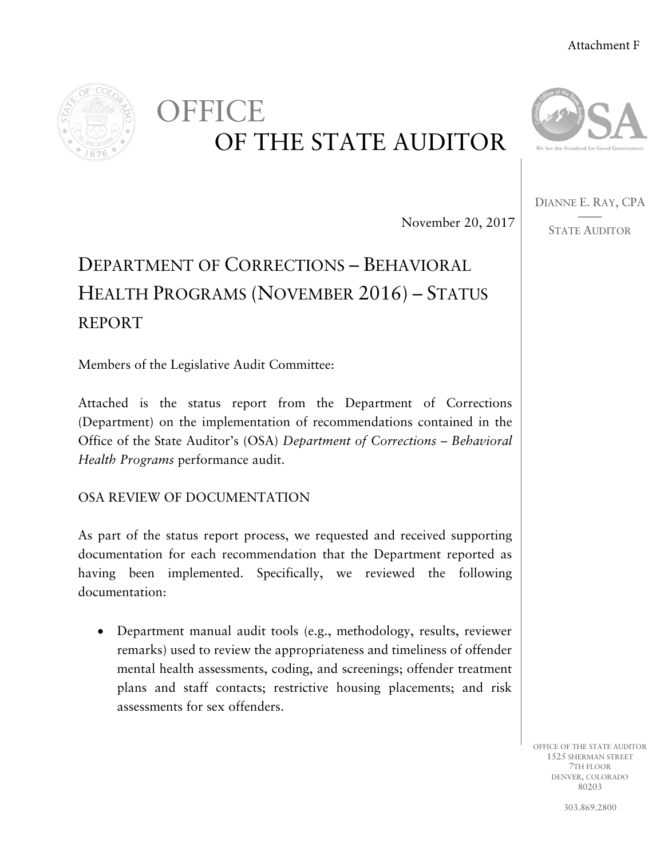# Attachment F



# **OFFICE** OF THE STATE AUDITOR



DIANNE E. RAY, CPA ——

STATE AUDITOR

November 20, 2017

# DEPARTMENT OF CORRECTIONS – BEHAVIORAL HEALTH PROGRAMS (NOVEMBER 2016) – STATUS REPORT

Members of the Legislative Audit Committee:

Attached is the status report from the Department of Corrections (Department) on the implementation of recommendations contained in the Office of the State Auditor's (OSA) *Department of Corrections – Behavioral Health Programs* performance audit.

OSA REVIEW OF DOCUMENTATION

As part of the status report process, we requested and received supporting documentation for each recommendation that the Department reported as having been implemented. Specifically, we reviewed the following documentation:

• Department manual audit tools (e.g., methodology, results, reviewer remarks) used to review the appropriateness and timeliness of offender mental health assessments, coding, and screenings; offender treatment plans and staff contacts; restrictive housing placements; and risk assessments for sex offenders.

> OFFICE OF THE STATE AUDITOR 1525 SHERMAN STREET 7TH FLOOR DENVER, COLORADO 80203

> > 303.869.2800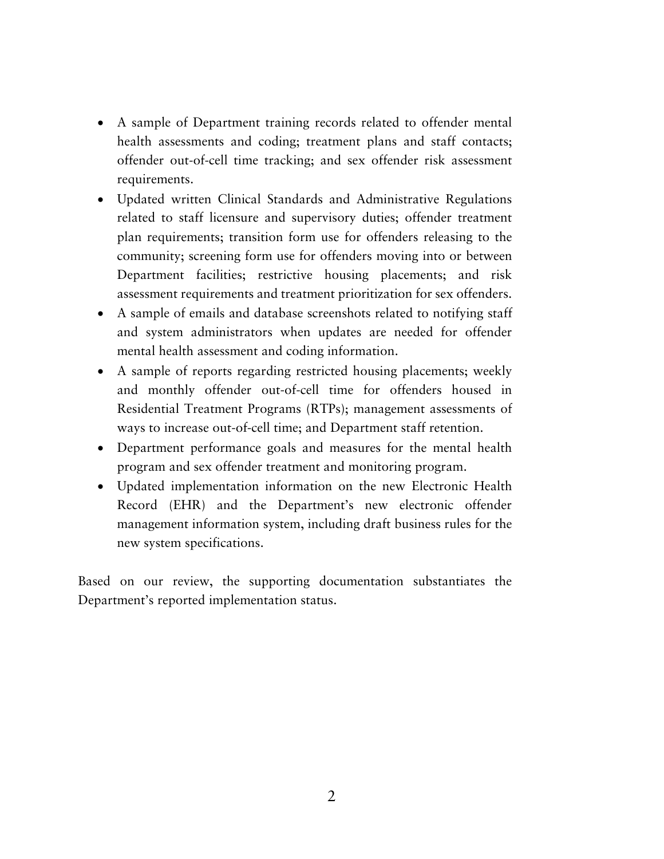- A sample of Department training records related to offender mental health assessments and coding; treatment plans and staff contacts; offender out-of-cell time tracking; and sex offender risk assessment requirements.
- Updated written Clinical Standards and Administrative Regulations related to staff licensure and supervisory duties; offender treatment plan requirements; transition form use for offenders releasing to the community; screening form use for offenders moving into or between Department facilities; restrictive housing placements; and risk assessment requirements and treatment prioritization for sex offenders.
- A sample of emails and database screenshots related to notifying staff and system administrators when updates are needed for offender mental health assessment and coding information.
- A sample of reports regarding restricted housing placements; weekly and monthly offender out-of-cell time for offenders housed in Residential Treatment Programs (RTPs); management assessments of ways to increase out-of-cell time; and Department staff retention.
- Department performance goals and measures for the mental health program and sex offender treatment and monitoring program.
- Updated implementation information on the new Electronic Health Record (EHR) and the Department's new electronic offender management information system, including draft business rules for the new system specifications.

Based on our review, the supporting documentation substantiates the Department's reported implementation status.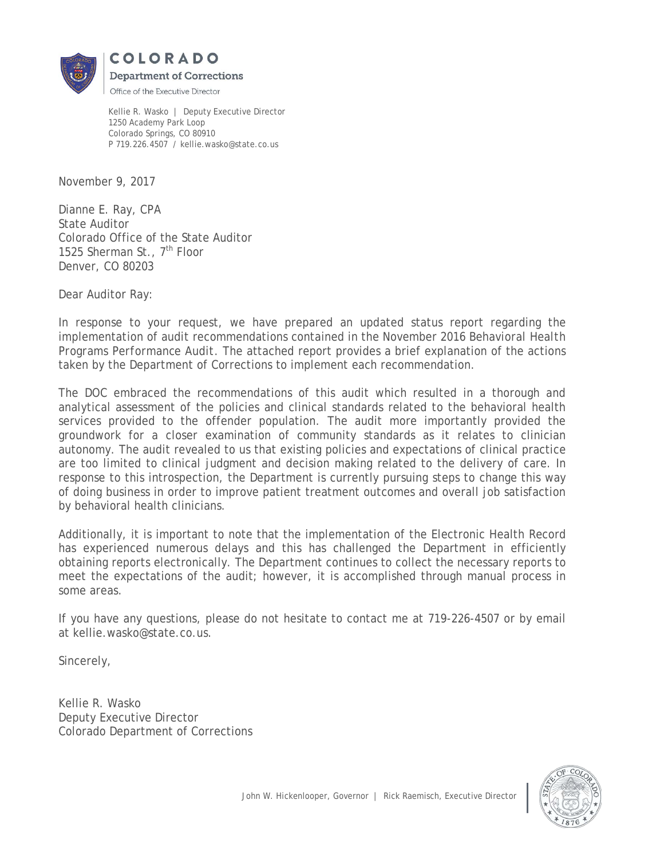

Kellie R. Wasko | Deputy Executive Director 1250 Academy Park Loop Colorado Springs, CO 80910 P 719.226.4507 / kellie.wasko@state.co.us

November 9, 2017

Dianne E. Ray, CPA State Auditor Colorado Office of the State Auditor 1525 Sherman St., 7<sup>th</sup> Floor Denver, CO 80203

Dear Auditor Ray:

In response to your request, we have prepared an updated status report regarding the implementation of audit recommendations contained in the November 2016 *Behavioral Health Programs Performance Audit*. The attached report provides a brief explanation of the actions taken by the Department of Corrections to implement each recommendation.

The DOC embraced the recommendations of this audit which resulted in a thorough and analytical assessment of the policies and clinical standards related to the behavioral health services provided to the offender population. The audit more importantly provided the groundwork for a closer examination of community standards as it relates to clinician autonomy. The audit revealed to us that existing policies and expectations of clinical practice are too limited to clinical judgment and decision making related to the delivery of care. In response to this introspection, the Department is currently pursuing steps to change this way of doing business in order to improve patient treatment outcomes and overall job satisfaction by behavioral health clinicians.

Additionally, it is important to note that the implementation of the Electronic Health Record has experienced numerous delays and this has challenged the Department in efficiently obtaining reports electronically. The Department continues to collect the necessary reports to meet the expectations of the audit; however, it is accomplished through manual process in some areas.

If you have any questions, please do not hesitate to contact me at 719-226-4507 or by email at kellie.wasko@state.co.us.

Sincerely,

Kellie R. Wasko Deputy Executive Director Colorado Department of Corrections

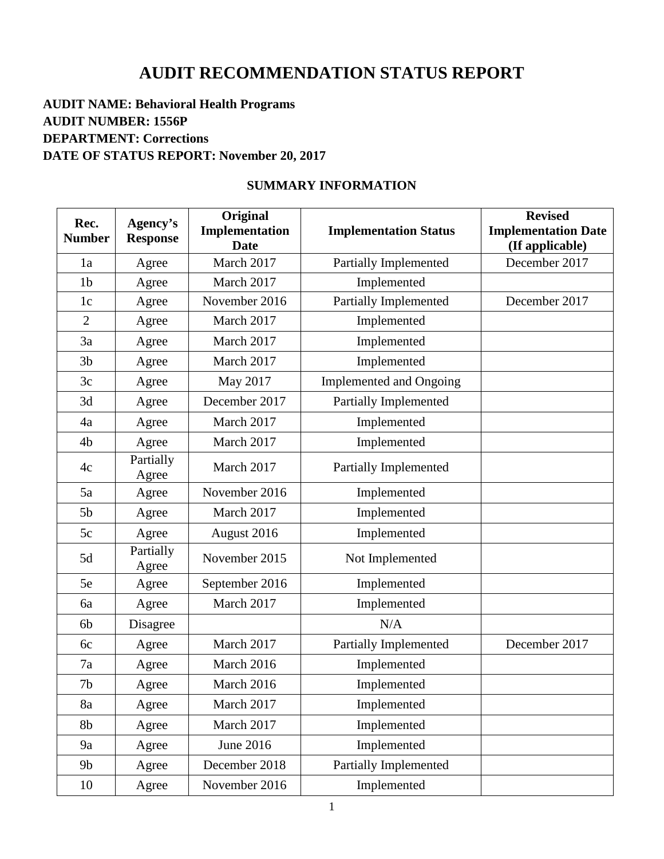# **AUDIT RECOMMENDATION STATUS REPORT**

# **AUDIT NAME: Behavioral Health Programs AUDIT NUMBER: 1556P DEPARTMENT: Corrections DATE OF STATUS REPORT: November 20, 2017**

# **SUMMARY INFORMATION**

| Rec.<br><b>Number</b> | Agency's<br><b>Response</b> | Original<br>Implementation | <b>Implementation Status</b>   | <b>Revised</b><br><b>Implementation Date</b> |
|-----------------------|-----------------------------|----------------------------|--------------------------------|----------------------------------------------|
|                       |                             | <b>Date</b>                |                                | (If applicable)                              |
| 1a                    | Agree                       | March 2017                 | <b>Partially Implemented</b>   | December 2017                                |
| 1 <sub>b</sub>        | Agree                       | March 2017                 | Implemented                    |                                              |
| 1 <sub>c</sub>        | Agree                       | November 2016              | Partially Implemented          | December 2017                                |
| $\overline{2}$        | Agree                       | March 2017                 | Implemented                    |                                              |
| 3a                    | Agree                       | March 2017                 | Implemented                    |                                              |
| 3 <sub>b</sub>        | Agree                       | March 2017                 | Implemented                    |                                              |
| 3c                    | Agree                       | May 2017                   | <b>Implemented and Ongoing</b> |                                              |
| 3d                    | Agree                       | December 2017              | Partially Implemented          |                                              |
| 4a                    | Agree                       | March 2017                 | Implemented                    |                                              |
| 4 <sub>b</sub>        | Agree                       | March 2017                 | Implemented                    |                                              |
| 4c                    | Partially<br>Agree          | March 2017                 | Partially Implemented          |                                              |
| 5a                    | Agree                       | November 2016              | Implemented                    |                                              |
| 5 <sub>b</sub>        | Agree                       | March 2017                 | Implemented                    |                                              |
| 5c                    | Agree                       | August 2016                | Implemented                    |                                              |
| 5d                    | Partially<br>Agree          | November 2015              | Not Implemented                |                                              |
| 5e                    | Agree                       | September 2016             | Implemented                    |                                              |
| 6a                    | Agree                       | March 2017                 | Implemented                    |                                              |
| 6 <sub>b</sub>        | Disagree                    |                            | N/A                            |                                              |
| 6c                    | Agree                       | March 2017                 | Partially Implemented          | December 2017                                |
| 7a                    | Agree                       | March 2016                 | Implemented                    |                                              |
| 7 <sub>b</sub>        | Agree                       | March 2016                 | Implemented                    |                                              |
| 8a                    | Agree                       | March 2017                 | Implemented                    |                                              |
| 8b                    | Agree                       | March 2017                 | Implemented                    |                                              |
| 9a                    | Agree                       | June 2016                  | Implemented                    |                                              |
| 9 <sub>b</sub>        | Agree                       | December 2018              | <b>Partially Implemented</b>   |                                              |
| 10                    | Agree                       | November 2016              | Implemented                    |                                              |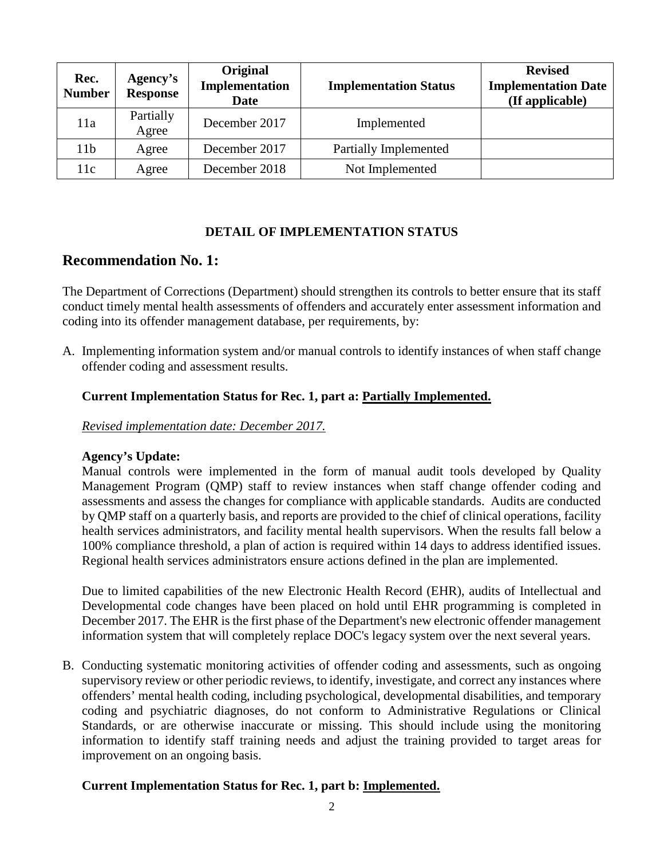| Rec.<br><b>Number</b> | Agency's<br><b>Response</b> | Original<br>Implementation<br>Date | <b>Implementation Status</b> | <b>Revised</b><br><b>Implementation Date</b><br>(If applicable) |
|-----------------------|-----------------------------|------------------------------------|------------------------------|-----------------------------------------------------------------|
| 11a                   | Partially<br>Agree          | December 2017                      | Implemented                  |                                                                 |
| 11 <sub>b</sub>       | Agree                       | December 2017                      | Partially Implemented        |                                                                 |
| 11c                   | Agree                       | December 2018                      | Not Implemented              |                                                                 |

#### **DETAIL OF IMPLEMENTATION STATUS**

# **Recommendation No. 1:**

The Department of Corrections (Department) should strengthen its controls to better ensure that its staff conduct timely mental health assessments of offenders and accurately enter assessment information and coding into its offender management database, per requirements, by:

A. Implementing information system and/or manual controls to identify instances of when staff change offender coding and assessment results.

#### **Current Implementation Status for Rec. 1, part a: Partially Implemented.**

*Revised implementation date: December 2017.*

#### **Agency's Update:**

Manual controls were implemented in the form of manual audit tools developed by Quality Management Program (QMP) staff to review instances when staff change offender coding and assessments and assess the changes for compliance with applicable standards. Audits are conducted by QMP staff on a quarterly basis, and reports are provided to the chief of clinical operations, facility health services administrators, and facility mental health supervisors. When the results fall below a 100% compliance threshold, a plan of action is required within 14 days to address identified issues. Regional health services administrators ensure actions defined in the plan are implemented.

Due to limited capabilities of the new Electronic Health Record (EHR), audits of Intellectual and Developmental code changes have been placed on hold until EHR programming is completed in December 2017. The EHR is the first phase of the Department's new electronic offender management information system that will completely replace DOC's legacy system over the next several years.

B. Conducting systematic monitoring activities of offender coding and assessments, such as ongoing supervisory review or other periodic reviews, to identify, investigate, and correct any instances where offenders' mental health coding, including psychological, developmental disabilities, and temporary coding and psychiatric diagnoses, do not conform to Administrative Regulations or Clinical Standards, or are otherwise inaccurate or missing. This should include using the monitoring information to identify staff training needs and adjust the training provided to target areas for improvement on an ongoing basis.

#### **Current Implementation Status for Rec. 1, part b: Implemented.**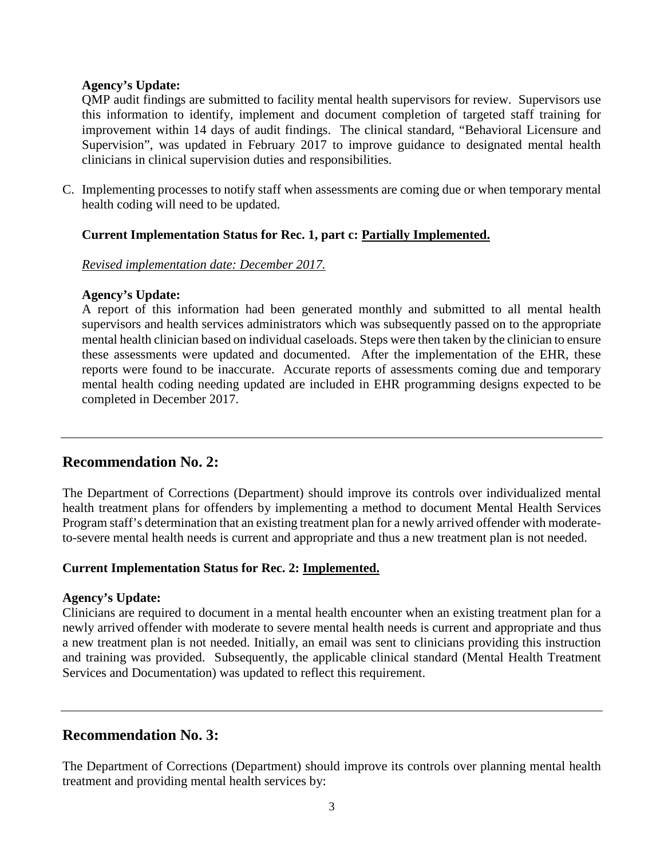QMP audit findings are submitted to facility mental health supervisors for review. Supervisors use this information to identify, implement and document completion of targeted staff training for improvement within 14 days of audit findings. The clinical standard, "Behavioral Licensure and Supervision", was updated in February 2017 to improve guidance to designated mental health clinicians in clinical supervision duties and responsibilities.

C. Implementing processes to notify staff when assessments are coming due or when temporary mental health coding will need to be updated.

#### **Current Implementation Status for Rec. 1, part c: Partially Implemented.**

#### *Revised implementation date: December 2017.*

#### **Agency's Update:**

A report of this information had been generated monthly and submitted to all mental health supervisors and health services administrators which was subsequently passed on to the appropriate mental health clinician based on individual caseloads. Steps were then taken by the clinician to ensure these assessments were updated and documented. After the implementation of the EHR, these reports were found to be inaccurate. Accurate reports of assessments coming due and temporary mental health coding needing updated are included in EHR programming designs expected to be completed in December 2017.

# **Recommendation No. 2:**

The Department of Corrections (Department) should improve its controls over individualized mental health treatment plans for offenders by implementing a method to document Mental Health Services Program staff's determination that an existing treatment plan for a newly arrived offender with moderateto-severe mental health needs is current and appropriate and thus a new treatment plan is not needed.

#### **Current Implementation Status for Rec. 2: Implemented.**

#### **Agency's Update:**

Clinicians are required to document in a mental health encounter when an existing treatment plan for a newly arrived offender with moderate to severe mental health needs is current and appropriate and thus a new treatment plan is not needed. Initially, an email was sent to clinicians providing this instruction and training was provided. Subsequently, the applicable clinical standard (Mental Health Treatment Services and Documentation) was updated to reflect this requirement.

# **Recommendation No. 3:**

The Department of Corrections (Department) should improve its controls over planning mental health treatment and providing mental health services by: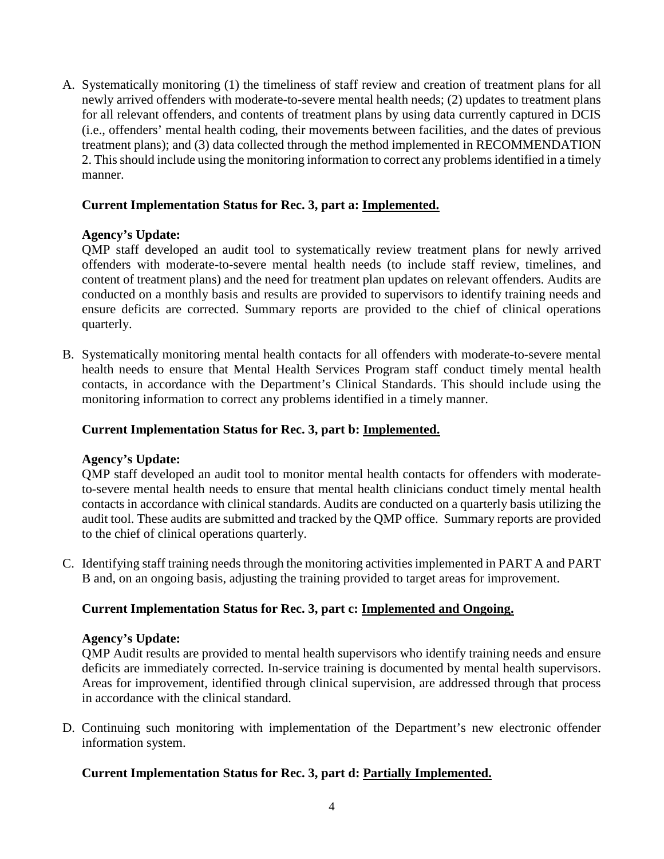A. Systematically monitoring (1) the timeliness of staff review and creation of treatment plans for all newly arrived offenders with moderate-to-severe mental health needs; (2) updates to treatment plans for all relevant offenders, and contents of treatment plans by using data currently captured in DCIS (i.e., offenders' mental health coding, their movements between facilities, and the dates of previous treatment plans); and (3) data collected through the method implemented in RECOMMENDATION 2. This should include using the monitoring information to correct any problems identified in a timely manner.

# **Current Implementation Status for Rec. 3, part a: Implemented.**

#### **Agency's Update:**

QMP staff developed an audit tool to systematically review treatment plans for newly arrived offenders with moderate-to-severe mental health needs (to include staff review, timelines, and content of treatment plans) and the need for treatment plan updates on relevant offenders. Audits are conducted on a monthly basis and results are provided to supervisors to identify training needs and ensure deficits are corrected. Summary reports are provided to the chief of clinical operations quarterly.

B. Systematically monitoring mental health contacts for all offenders with moderate-to-severe mental health needs to ensure that Mental Health Services Program staff conduct timely mental health contacts, in accordance with the Department's Clinical Standards. This should include using the monitoring information to correct any problems identified in a timely manner.

#### **Current Implementation Status for Rec. 3, part b: Implemented.**

#### **Agency's Update:**

QMP staff developed an audit tool to monitor mental health contacts for offenders with moderateto-severe mental health needs to ensure that mental health clinicians conduct timely mental health contacts in accordance with clinical standards. Audits are conducted on a quarterly basis utilizing the audit tool. These audits are submitted and tracked by the QMP office. Summary reports are provided to the chief of clinical operations quarterly.

C. Identifying staff training needs through the monitoring activities implemented in PART A and PART B and, on an ongoing basis, adjusting the training provided to target areas for improvement.

# **Current Implementation Status for Rec. 3, part c: Implemented and Ongoing.**

#### **Agency's Update:**

QMP Audit results are provided to mental health supervisors who identify training needs and ensure deficits are immediately corrected. In-service training is documented by mental health supervisors. Areas for improvement, identified through clinical supervision, are addressed through that process in accordance with the clinical standard.

D. Continuing such monitoring with implementation of the Department's new electronic offender information system.

# **Current Implementation Status for Rec. 3, part d: Partially Implemented.**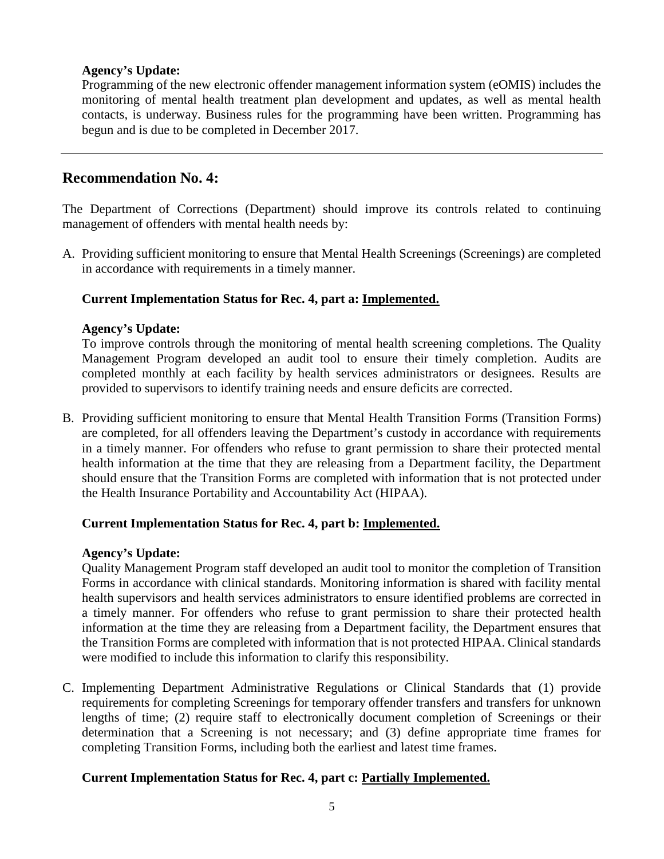Programming of the new electronic offender management information system (eOMIS) includes the monitoring of mental health treatment plan development and updates, as well as mental health contacts, is underway. Business rules for the programming have been written. Programming has begun and is due to be completed in December 2017.

# **Recommendation No. 4:**

The Department of Corrections (Department) should improve its controls related to continuing management of offenders with mental health needs by:

A. Providing sufficient monitoring to ensure that Mental Health Screenings (Screenings) are completed in accordance with requirements in a timely manner.

# **Current Implementation Status for Rec. 4, part a: Implemented.**

#### **Agency's Update:**

To improve controls through the monitoring of mental health screening completions. The Quality Management Program developed an audit tool to ensure their timely completion. Audits are completed monthly at each facility by health services administrators or designees. Results are provided to supervisors to identify training needs and ensure deficits are corrected.

B. Providing sufficient monitoring to ensure that Mental Health Transition Forms (Transition Forms) are completed, for all offenders leaving the Department's custody in accordance with requirements in a timely manner. For offenders who refuse to grant permission to share their protected mental health information at the time that they are releasing from a Department facility, the Department should ensure that the Transition Forms are completed with information that is not protected under the Health Insurance Portability and Accountability Act (HIPAA).

# **Current Implementation Status for Rec. 4, part b: Implemented.**

#### **Agency's Update:**

Quality Management Program staff developed an audit tool to monitor the completion of Transition Forms in accordance with clinical standards. Monitoring information is shared with facility mental health supervisors and health services administrators to ensure identified problems are corrected in a timely manner. For offenders who refuse to grant permission to share their protected health information at the time they are releasing from a Department facility, the Department ensures that the Transition Forms are completed with information that is not protected HIPAA. Clinical standards were modified to include this information to clarify this responsibility.

C. Implementing Department Administrative Regulations or Clinical Standards that (1) provide requirements for completing Screenings for temporary offender transfers and transfers for unknown lengths of time; (2) require staff to electronically document completion of Screenings or their determination that a Screening is not necessary; and (3) define appropriate time frames for completing Transition Forms, including both the earliest and latest time frames.

#### **Current Implementation Status for Rec. 4, part c: Partially Implemented.**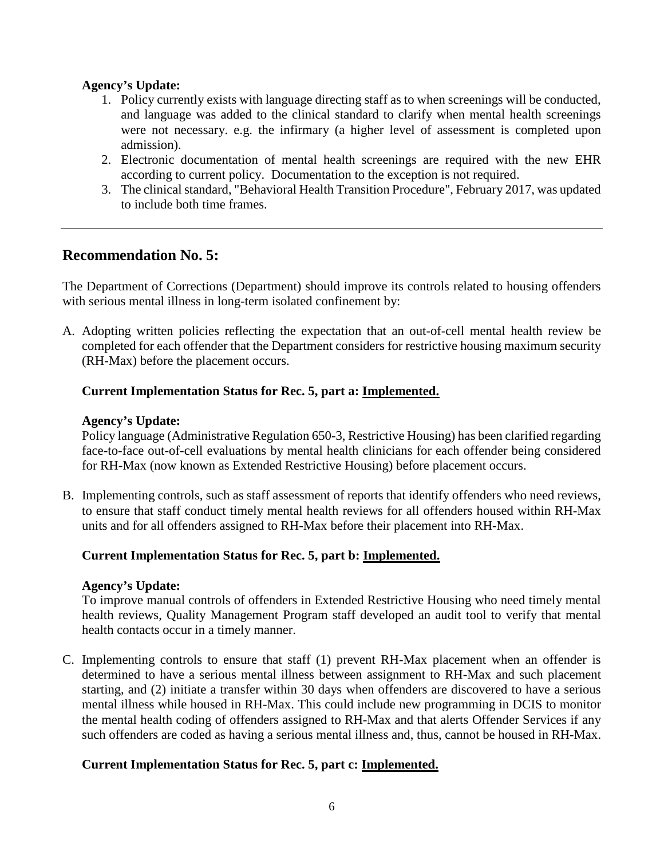- 1. Policy currently exists with language directing staff as to when screenings will be conducted, and language was added to the clinical standard to clarify when mental health screenings were not necessary. e.g. the infirmary (a higher level of assessment is completed upon admission).
- 2. Electronic documentation of mental health screenings are required with the new EHR according to current policy. Documentation to the exception is not required.
- 3. The clinical standard, "Behavioral Health Transition Procedure", February 2017, was updated to include both time frames.

# **Recommendation No. 5:**

The Department of Corrections (Department) should improve its controls related to housing offenders with serious mental illness in long-term isolated confinement by:

A. Adopting written policies reflecting the expectation that an out-of-cell mental health review be completed for each offender that the Department considers for restrictive housing maximum security (RH-Max) before the placement occurs.

# **Current Implementation Status for Rec. 5, part a: Implemented.**

#### **Agency's Update:**

Policy language (Administrative Regulation 650-3, Restrictive Housing) has been clarified regarding face-to-face out-of-cell evaluations by mental health clinicians for each offender being considered for RH-Max (now known as Extended Restrictive Housing) before placement occurs.

B. Implementing controls, such as staff assessment of reports that identify offenders who need reviews, to ensure that staff conduct timely mental health reviews for all offenders housed within RH-Max units and for all offenders assigned to RH-Max before their placement into RH-Max.

# **Current Implementation Status for Rec. 5, part b: Implemented.**

#### **Agency's Update:**

To improve manual controls of offenders in Extended Restrictive Housing who need timely mental health reviews, Quality Management Program staff developed an audit tool to verify that mental health contacts occur in a timely manner.

C. Implementing controls to ensure that staff (1) prevent RH-Max placement when an offender is determined to have a serious mental illness between assignment to RH-Max and such placement starting, and (2) initiate a transfer within 30 days when offenders are discovered to have a serious mental illness while housed in RH-Max. This could include new programming in DCIS to monitor the mental health coding of offenders assigned to RH-Max and that alerts Offender Services if any such offenders are coded as having a serious mental illness and, thus, cannot be housed in RH-Max.

# **Current Implementation Status for Rec. 5, part c: Implemented.**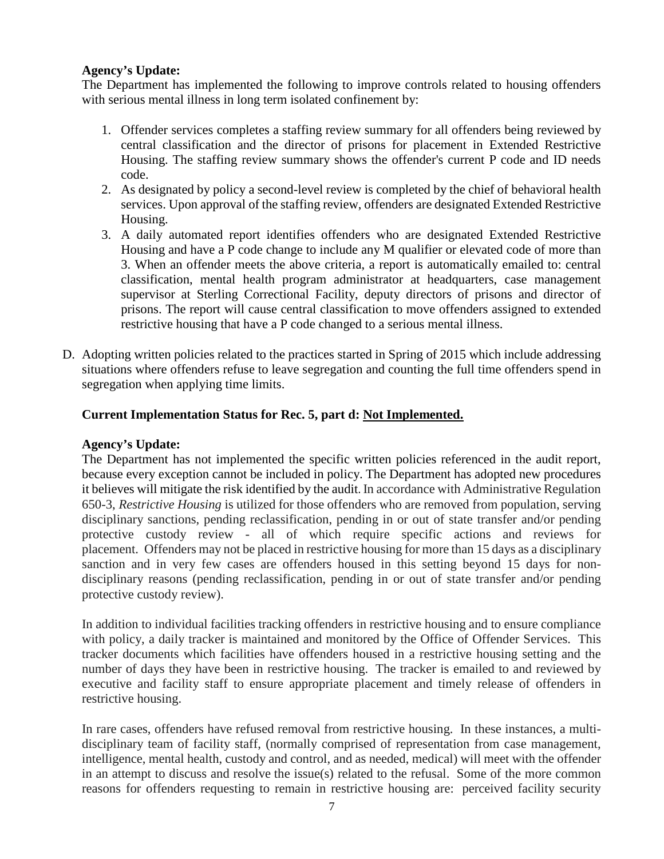The Department has implemented the following to improve controls related to housing offenders with serious mental illness in long term isolated confinement by:

- 1. Offender services completes a staffing review summary for all offenders being reviewed by central classification and the director of prisons for placement in Extended Restrictive Housing. The staffing review summary shows the offender's current P code and ID needs code.
- 2. As designated by policy a second-level review is completed by the chief of behavioral health services. Upon approval of the staffing review, offenders are designated Extended Restrictive Housing.
- 3. A daily automated report identifies offenders who are designated Extended Restrictive Housing and have a P code change to include any M qualifier or elevated code of more than 3. When an offender meets the above criteria, a report is automatically emailed to: central classification, mental health program administrator at headquarters, case management supervisor at Sterling Correctional Facility, deputy directors of prisons and director of prisons. The report will cause central classification to move offenders assigned to extended restrictive housing that have a P code changed to a serious mental illness.
- D. Adopting written policies related to the practices started in Spring of 2015 which include addressing situations where offenders refuse to leave segregation and counting the full time offenders spend in segregation when applying time limits.

# **Current Implementation Status for Rec. 5, part d: Not Implemented.**

#### **Agency's Update:**

The Department has not implemented the specific written policies referenced in the audit report, because every exception cannot be included in policy. The Department has adopted new procedures it believes will mitigate the risk identified by the audit. In accordance with Administrative Regulation 650-3, *Restrictive Housing* is utilized for those offenders who are removed from population, serving disciplinary sanctions, pending reclassification, pending in or out of state transfer and/or pending protective custody review - all of which require specific actions and reviews for placement. Offenders may not be placed in restrictive housing for more than 15 days as a disciplinary sanction and in very few cases are offenders housed in this setting beyond 15 days for nondisciplinary reasons (pending reclassification, pending in or out of state transfer and/or pending protective custody review).

In addition to individual facilities tracking offenders in restrictive housing and to ensure compliance with policy, a daily tracker is maintained and monitored by the Office of Offender Services. This tracker documents which facilities have offenders housed in a restrictive housing setting and the number of days they have been in restrictive housing. The tracker is emailed to and reviewed by executive and facility staff to ensure appropriate placement and timely release of offenders in restrictive housing.

In rare cases, offenders have refused removal from restrictive housing. In these instances, a multidisciplinary team of facility staff, (normally comprised of representation from case management, intelligence, mental health, custody and control, and as needed, medical) will meet with the offender in an attempt to discuss and resolve the issue(s) related to the refusal. Some of the more common reasons for offenders requesting to remain in restrictive housing are: perceived facility security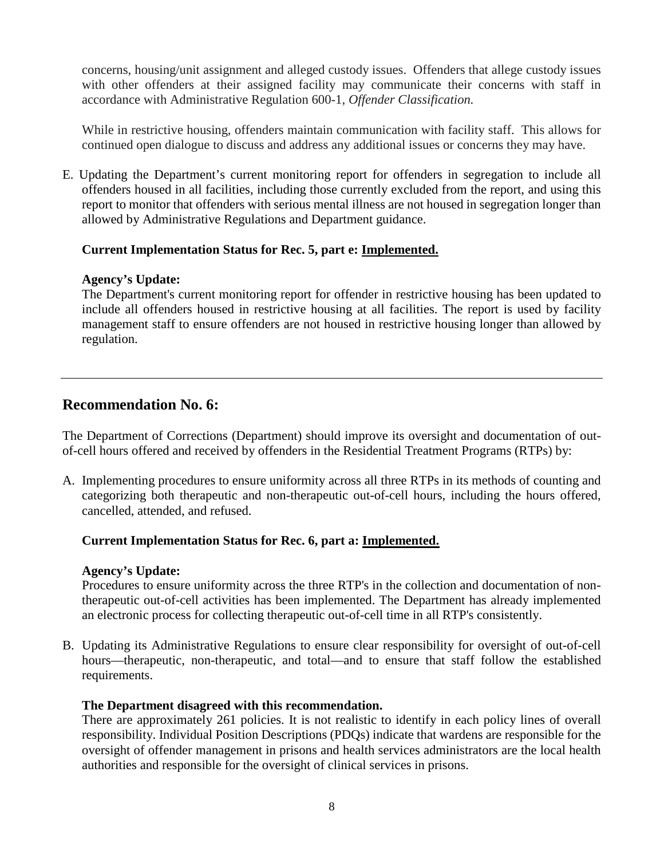concerns, housing/unit assignment and alleged custody issues. Offenders that allege custody issues with other offenders at their assigned facility may communicate their concerns with staff in accordance with Administrative Regulation 600-1, *Offender Classification.*

While in restrictive housing, offenders maintain communication with facility staff. This allows for continued open dialogue to discuss and address any additional issues or concerns they may have.

E. Updating the Department's current monitoring report for offenders in segregation to include all offenders housed in all facilities, including those currently excluded from the report, and using this report to monitor that offenders with serious mental illness are not housed in segregation longer than allowed by Administrative Regulations and Department guidance.

# **Current Implementation Status for Rec. 5, part e: Implemented.**

#### **Agency's Update:**

The Department's current monitoring report for offender in restrictive housing has been updated to include all offenders housed in restrictive housing at all facilities. The report is used by facility management staff to ensure offenders are not housed in restrictive housing longer than allowed by regulation.

# **Recommendation No. 6:**

The Department of Corrections (Department) should improve its oversight and documentation of outof-cell hours offered and received by offenders in the Residential Treatment Programs (RTPs) by:

A. Implementing procedures to ensure uniformity across all three RTPs in its methods of counting and categorizing both therapeutic and non-therapeutic out-of-cell hours, including the hours offered, cancelled, attended, and refused.

# **Current Implementation Status for Rec. 6, part a: Implemented.**

#### **Agency's Update:**

Procedures to ensure uniformity across the three RTP's in the collection and documentation of nontherapeutic out-of-cell activities has been implemented. The Department has already implemented an electronic process for collecting therapeutic out-of-cell time in all RTP's consistently.

B. Updating its Administrative Regulations to ensure clear responsibility for oversight of out-of-cell hours—therapeutic, non-therapeutic, and total—and to ensure that staff follow the established requirements.

# **The Department disagreed with this recommendation.**

There are approximately 261 policies. It is not realistic to identify in each policy lines of overall responsibility. Individual Position Descriptions (PDQs) indicate that wardens are responsible for the oversight of offender management in prisons and health services administrators are the local health authorities and responsible for the oversight of clinical services in prisons.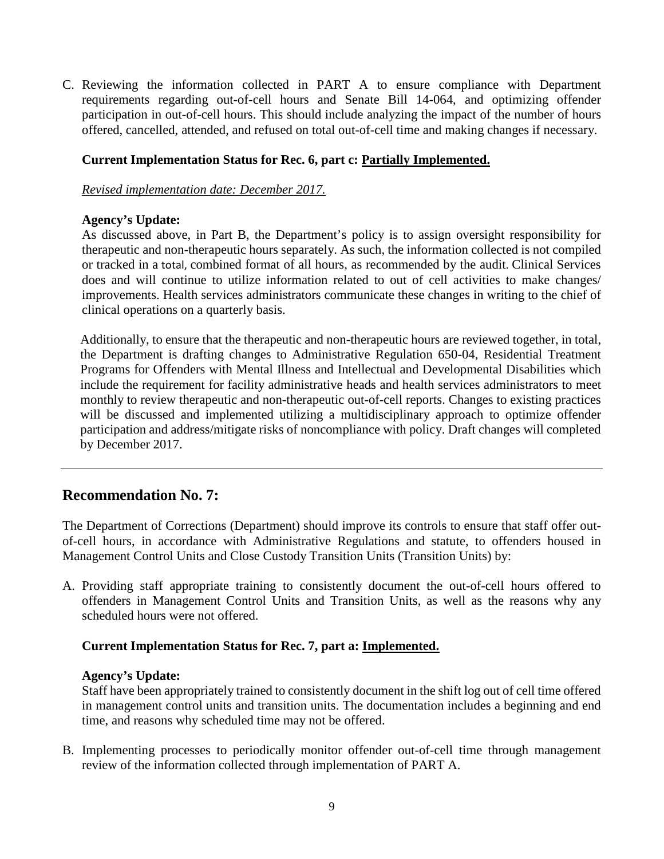C. Reviewing the information collected in PART A to ensure compliance with Department requirements regarding out-of-cell hours and Senate Bill 14-064, and optimizing offender participation in out-of-cell hours. This should include analyzing the impact of the number of hours offered, cancelled, attended, and refused on total out-of-cell time and making changes if necessary.

#### **Current Implementation Status for Rec. 6, part c: Partially Implemented.**

*Revised implementation date: December 2017.*

#### **Agency's Update:**

As discussed above, in Part B, the Department's policy is to assign oversight responsibility for therapeutic and non-therapeutic hours separately. As such, the information collected is not compiled or tracked in a total, combined format of all hours, as recommended by the audit. Clinical Services does and will continue to utilize information related to out of cell activities to make changes/ improvements. Health services administrators communicate these changes in writing to the chief of clinical operations on a quarterly basis.

Additionally, to ensure that the therapeutic and non-therapeutic hours are reviewed together, in total, the Department is drafting changes to Administrative Regulation 650-04, Residential Treatment Programs for Offenders with Mental Illness and Intellectual and Developmental Disabilities which include the requirement for facility administrative heads and health services administrators to meet monthly to review therapeutic and non-therapeutic out-of-cell reports. Changes to existing practices will be discussed and implemented utilizing a multidisciplinary approach to optimize offender participation and address/mitigate risks of noncompliance with policy. Draft changes will completed by December 2017.

# **Recommendation No. 7:**

The Department of Corrections (Department) should improve its controls to ensure that staff offer outof-cell hours, in accordance with Administrative Regulations and statute, to offenders housed in Management Control Units and Close Custody Transition Units (Transition Units) by:

A. Providing staff appropriate training to consistently document the out-of-cell hours offered to offenders in Management Control Units and Transition Units, as well as the reasons why any scheduled hours were not offered.

#### **Current Implementation Status for Rec. 7, part a: Implemented.**

#### **Agency's Update:**

Staff have been appropriately trained to consistently document in the shift log out of cell time offered in management control units and transition units. The documentation includes a beginning and end time, and reasons why scheduled time may not be offered.

B. Implementing processes to periodically monitor offender out-of-cell time through management review of the information collected through implementation of PART A.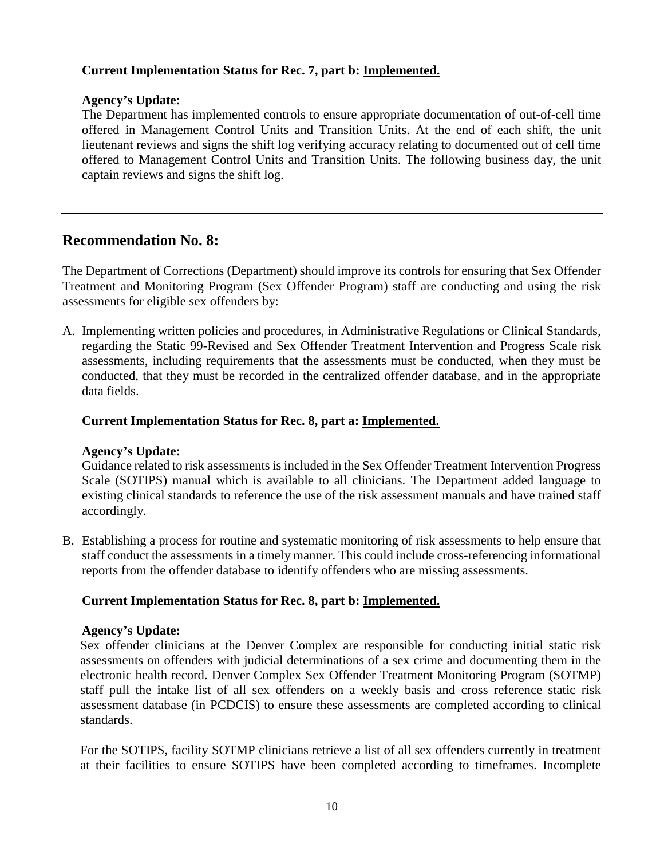#### **Current Implementation Status for Rec. 7, part b: Implemented.**

#### **Agency's Update:**

The Department has implemented controls to ensure appropriate documentation of out-of-cell time offered in Management Control Units and Transition Units. At the end of each shift, the unit lieutenant reviews and signs the shift log verifying accuracy relating to documented out of cell time offered to Management Control Units and Transition Units. The following business day, the unit captain reviews and signs the shift log.

# **Recommendation No. 8:**

The Department of Corrections (Department) should improve its controls for ensuring that Sex Offender Treatment and Monitoring Program (Sex Offender Program) staff are conducting and using the risk assessments for eligible sex offenders by:

A. Implementing written policies and procedures, in Administrative Regulations or Clinical Standards, regarding the Static 99-Revised and Sex Offender Treatment Intervention and Progress Scale risk assessments, including requirements that the assessments must be conducted, when they must be conducted, that they must be recorded in the centralized offender database, and in the appropriate data fields.

#### **Current Implementation Status for Rec. 8, part a: Implemented.**

#### **Agency's Update:**

Guidance related to risk assessments is included in the Sex Offender Treatment Intervention Progress Scale (SOTIPS) manual which is available to all clinicians. The Department added language to existing clinical standards to reference the use of the risk assessment manuals and have trained staff accordingly.

B. Establishing a process for routine and systematic monitoring of risk assessments to help ensure that staff conduct the assessments in a timely manner. This could include cross-referencing informational reports from the offender database to identify offenders who are missing assessments.

#### **Current Implementation Status for Rec. 8, part b: Implemented.**

#### **Agency's Update:**

Sex offender clinicians at the Denver Complex are responsible for conducting initial static risk assessments on offenders with judicial determinations of a sex crime and documenting them in the electronic health record. Denver Complex Sex Offender Treatment Monitoring Program (SOTMP) staff pull the intake list of all sex offenders on a weekly basis and cross reference static risk assessment database (in PCDCIS) to ensure these assessments are completed according to clinical standards.

For the SOTIPS, facility SOTMP clinicians retrieve a list of all sex offenders currently in treatment at their facilities to ensure SOTIPS have been completed according to timeframes. Incomplete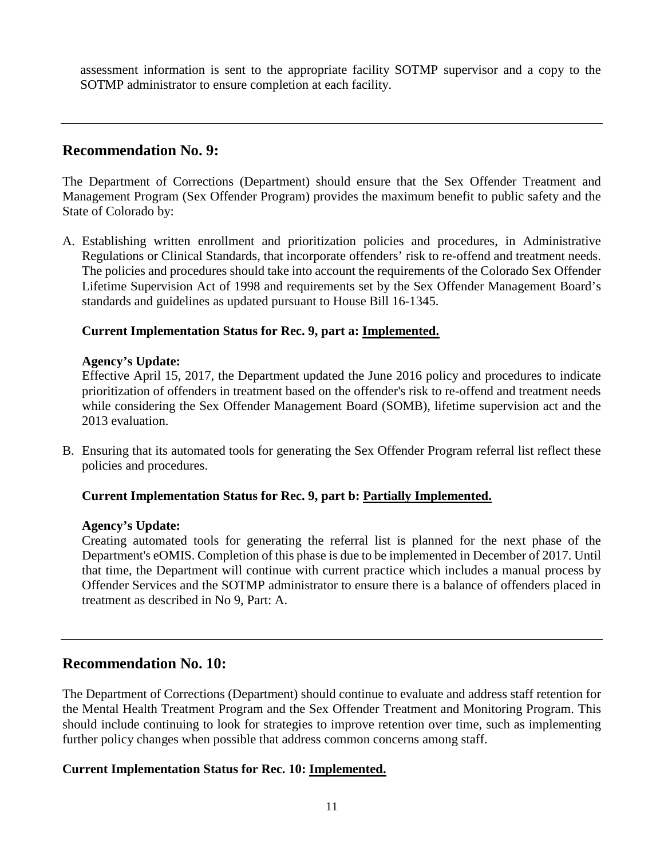assessment information is sent to the appropriate facility SOTMP supervisor and a copy to the SOTMP administrator to ensure completion at each facility.

# **Recommendation No. 9:**

The Department of Corrections (Department) should ensure that the Sex Offender Treatment and Management Program (Sex Offender Program) provides the maximum benefit to public safety and the State of Colorado by:

A. Establishing written enrollment and prioritization policies and procedures, in Administrative Regulations or Clinical Standards, that incorporate offenders' risk to re-offend and treatment needs. The policies and procedures should take into account the requirements of the Colorado Sex Offender Lifetime Supervision Act of 1998 and requirements set by the Sex Offender Management Board's standards and guidelines as updated pursuant to House Bill 16-1345.

# **Current Implementation Status for Rec. 9, part a: Implemented.**

#### **Agency's Update:**

Effective April 15, 2017, the Department updated the June 2016 policy and procedures to indicate prioritization of offenders in treatment based on the offender's risk to re-offend and treatment needs while considering the Sex Offender Management Board (SOMB), lifetime supervision act and the 2013 evaluation.

B. Ensuring that its automated tools for generating the Sex Offender Program referral list reflect these policies and procedures.

# **Current Implementation Status for Rec. 9, part b: Partially Implemented.**

#### **Agency's Update:**

Creating automated tools for generating the referral list is planned for the next phase of the Department's eOMIS. Completion of this phase is due to be implemented in December of 2017. Until that time, the Department will continue with current practice which includes a manual process by Offender Services and the SOTMP administrator to ensure there is a balance of offenders placed in treatment as described in No 9, Part: A.

# **Recommendation No. 10:**

The Department of Corrections (Department) should continue to evaluate and address staff retention for the Mental Health Treatment Program and the Sex Offender Treatment and Monitoring Program. This should include continuing to look for strategies to improve retention over time, such as implementing further policy changes when possible that address common concerns among staff.

# **Current Implementation Status for Rec. 10: Implemented.**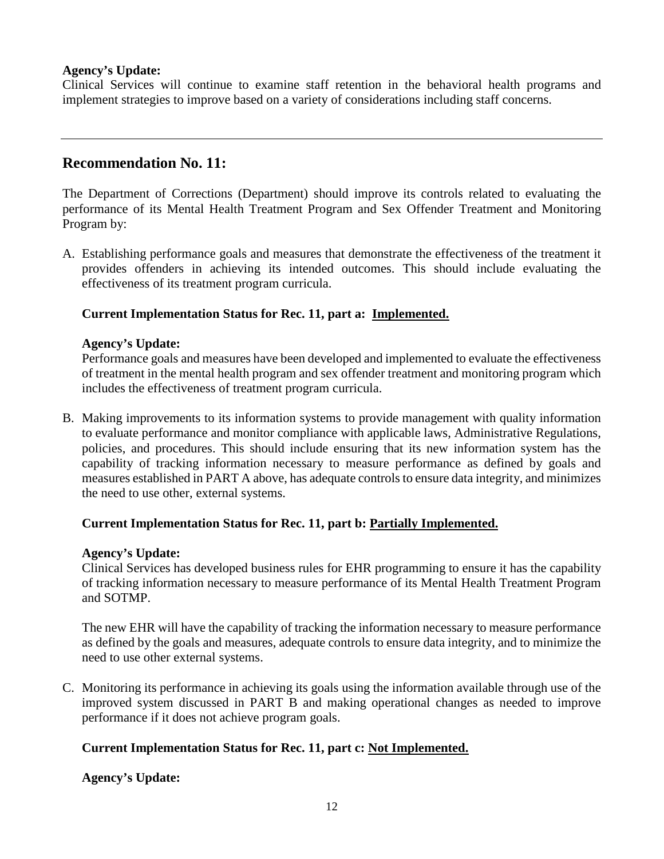Clinical Services will continue to examine staff retention in the behavioral health programs and implement strategies to improve based on a variety of considerations including staff concerns.

# **Recommendation No. 11:**

The Department of Corrections (Department) should improve its controls related to evaluating the performance of its Mental Health Treatment Program and Sex Offender Treatment and Monitoring Program by:

A. Establishing performance goals and measures that demonstrate the effectiveness of the treatment it provides offenders in achieving its intended outcomes. This should include evaluating the effectiveness of its treatment program curricula.

# **Current Implementation Status for Rec. 11, part a: Implemented.**

#### **Agency's Update:**

Performance goals and measures have been developed and implemented to evaluate the effectiveness of treatment in the mental health program and sex offender treatment and monitoring program which includes the effectiveness of treatment program curricula.

B. Making improvements to its information systems to provide management with quality information to evaluate performance and monitor compliance with applicable laws, Administrative Regulations, policies, and procedures. This should include ensuring that its new information system has the capability of tracking information necessary to measure performance as defined by goals and measures established in PART A above, has adequate controls to ensure data integrity, and minimizes the need to use other, external systems.

# **Current Implementation Status for Rec. 11, part b: Partially Implemented.**

#### **Agency's Update:**

Clinical Services has developed business rules for EHR programming to ensure it has the capability of tracking information necessary to measure performance of its Mental Health Treatment Program and SOTMP.

The new EHR will have the capability of tracking the information necessary to measure performance as defined by the goals and measures, adequate controls to ensure data integrity, and to minimize the need to use other external systems.

C. Monitoring its performance in achieving its goals using the information available through use of the improved system discussed in PART B and making operational changes as needed to improve performance if it does not achieve program goals.

# **Current Implementation Status for Rec. 11, part c: Not Implemented.**

**Agency's Update:**